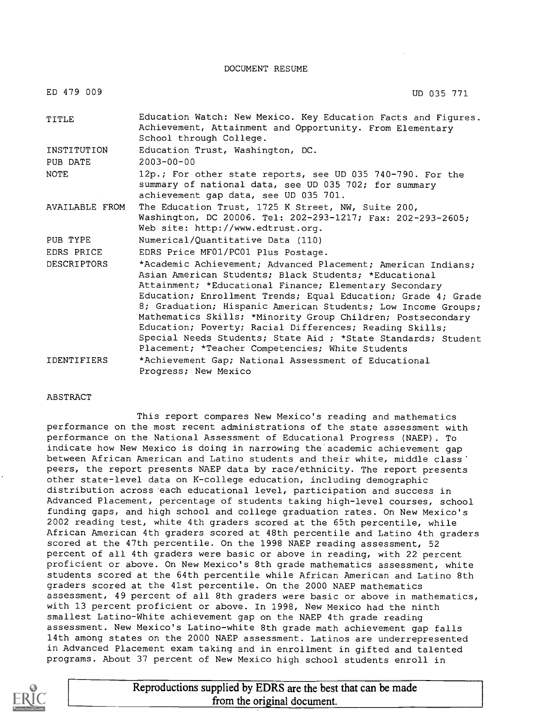DOCUMENT RESUME

| ED 479 009              | UD 035 771                                                                                                                                                                                                                                                                                                                                                                                                                                                                                                                                                       |
|-------------------------|------------------------------------------------------------------------------------------------------------------------------------------------------------------------------------------------------------------------------------------------------------------------------------------------------------------------------------------------------------------------------------------------------------------------------------------------------------------------------------------------------------------------------------------------------------------|
| TITLE                   | Education Watch: New Mexico. Key Education Facts and Figures.<br>Achievement, Attainment and Opportunity. From Elementary<br>School through College.                                                                                                                                                                                                                                                                                                                                                                                                             |
| INSTITUTION<br>PUB DATE | Education Trust, Washington, DC.<br>$2003 - 00 - 00$                                                                                                                                                                                                                                                                                                                                                                                                                                                                                                             |
| <b>NOTE</b>             | 12p.; For other state reports, see UD 035 740-790. For the<br>summary of national data, see UD 035 702; for summary<br>achievement gap data, see UD 035 701.                                                                                                                                                                                                                                                                                                                                                                                                     |
| AVAILABLE FROM          | The Education Trust, 1725 K Street, NW, Suite 200,<br>Washington, DC 20006. Tel: 202-293-1217; Fax: 202-293-2605;<br>Web site: http://www.edtrust.org.                                                                                                                                                                                                                                                                                                                                                                                                           |
| PUB TYPE                | Numerical/Quantitative Data (110)                                                                                                                                                                                                                                                                                                                                                                                                                                                                                                                                |
| EDRS PRICE              | EDRS Price MF01/PC01 Plus Postage.                                                                                                                                                                                                                                                                                                                                                                                                                                                                                                                               |
| <b>DESCRIPTORS</b>      | *Academic Achievement; Advanced Placement; American Indians;<br>Asian American Students; Black Students; *Educational<br>Attainment; *Educational Finance; Elementary Secondary<br>Education; Enrollment Trends; Equal Education; Grade 4; Grade<br>8; Graduation; Hispanic American Students; Low Income Groups;<br>Mathematics Skills; *Minority Group Children; Postsecondary<br>Education; Poverty; Racial Differences; Reading Skills;<br>Special Needs Students; State Aid ; *State Standards; Student<br>Placement; *Teacher Competencies; White Students |
| <b>IDENTIFIERS</b>      | *Achievement Gap; National Assessment of Educational<br>Progress; New Mexico                                                                                                                                                                                                                                                                                                                                                                                                                                                                                     |

#### ABSTRACT

This report compares New Mexico's reading and mathematics performance on the most recent administrations of the state assessment with performance on the National Assessment of Educational Progress (NAEP). To indicate how New Mexico is doing in narrowing the academic achievement gap between African American and Latino students and their white, middle class' peers, the report presents NAEP data by race/ethnicity. The report presents other state-level data on K-college education, including demographic distribution across 'each educational level, participation and success in Advanced Placement, percentage of students taking high-level courses, school funding gaps, and high school and college graduation rates. On New Mexico's 2002 reading test, white 4th graders scored at the 65th percentile, while African American 4th graders scored at 48th percentile and Latino 4th graders scored at the 47th percentile. On the 1998 NAEP reading assessment, 52 percent of all 4th graders were basic or above in reading, with 22 percent proficient or above. On New Mexico's 8th grade mathematics assessment, white students scored at the 64th percentile while African American and Latino 8th graders scored at the 41st percentile. On the 2000 NAEP mathematics assessment, 49 percent of all 8th graders were basic or above in mathematics, with 13 percent proficient or above. In 1998, New Mexico had the ninth smallest Latino-White achievement gap on the NAEP 4th grade reading assessment. New Mexico's Latino-white 8th grade math achievement gap falls 14th among states on the 2000 NAEP assessment. Latinos are underrepresented in Advanced Placement exam taking and in enrollment in gifted and talented programs. About 37 percent of New Mexico high school students enroll in



Reproductions supplied by EDRS are the best that can be made from the original document.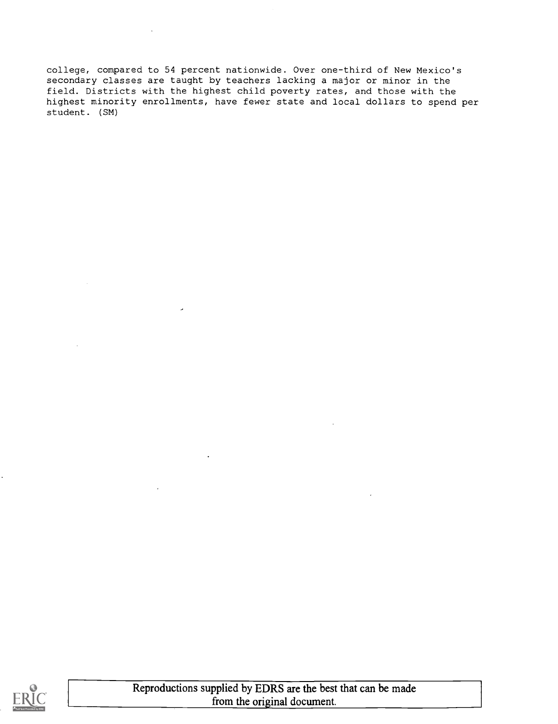college, compared to 54 percent nationwide. Over one-third of New Mexico's secondary classes are taught by teachers lacking a major or minor in the field. Districts with the highest child poverty rates, and those with the highest minority enrollments, have fewer state and local dollars to spend per student. (SM)

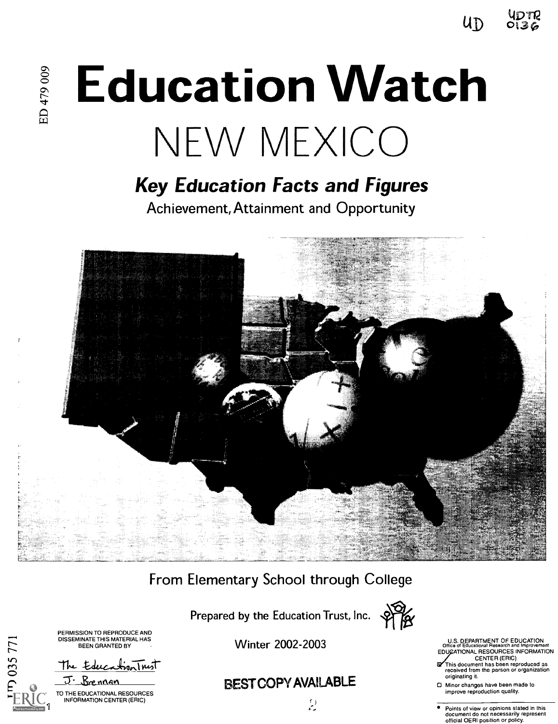YDTR  $up$  0136

# **Education Watch** NEW MEXICO

# Key Education Facts and Figures

Achievement, Attainment and Opportunity



# From Elementary School through College

Prepared by the Education Trust, Inc.



PERMISSION TO REPRODUCE AND DISSEMINATE THIS MATERIAL HAS<br>BEEN GRANTED BY

D<sub>035771</sub>

The EducationTrust J. Brennan

TO THE EDUCATIONAL RESOURCES INFORMATION CENTER (ERIC)  $\begin{pmatrix} 1 \\ 2 \end{pmatrix}$ 

Winter 2002-2003

# EST COPY AVAILABLE

U.S. DEPARTMENT OF EDUCATION Office of Educational Research and Improvement EDUCATIONAL RESOURCES INFORMATION CENTER (ERIC)

- This document has been reproduced as received from the person or organization originating it.
- 1:1 Minor changes have been made to improve reproduction quality.

Points of view or opinions stated in this document do not necessarily represent official OERI position or policy.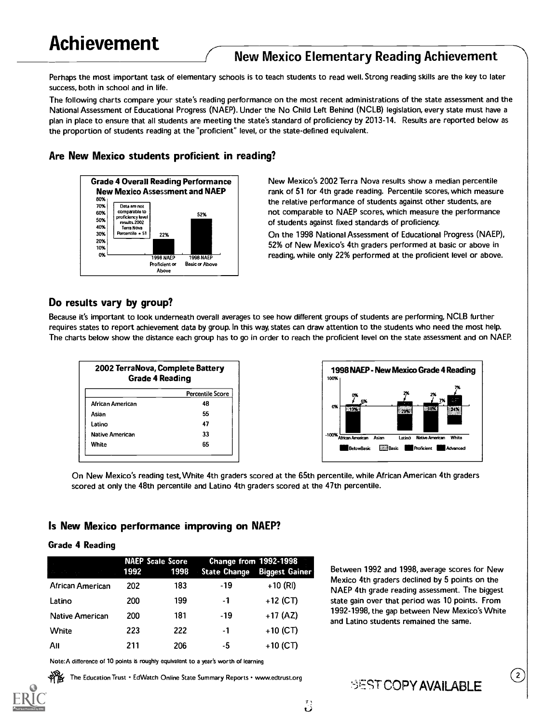# New Mexico Elementary Reading Achievement

Perhaps the most important task of elementary schools is to teach students to read well. Strong reading skills are the key to later success, both in school and in life.

The following charts compare your state's reading performance on the most recent administrations of the state assessment and the National Assessment of Educational Progress (NAEP). Under the No Child Left Behind (NCLB) legislation, every state must have a plan in place to ensure that all students are meeting the state's standard of proficiency by 2013-14. Results are reported below as the proportion of students reading at the "proficient" level, or the state-defined equivalent.

#### Are New Mexico students proficient in reading?



New Mexico's 2002 Terra Nova results show a median percentile rank of 51 for 4th grade reading. Percentile scores, which measure the relative performance of students against other students, are not comparable to NAEP scores, which measure the performance of students against fixed standards of proficiency.

On the 1998 National Assessment of Educational Progress (NAEP), 52% of New Mexico's 4th graders performed at basic or above in reading, while only 22% performed at the proficient level or above.

## Do results vary by group?

Because it's important to look underneath overall averages to see how different groups of students are performing, NCLB further requires states to report achievement data by group. In this way, states can draw attention to the students who need the most help. The charts below show the distance each group has to go in order to reach the proficient level on the state assessment and on NAEP.

| 2002 TerraNova, Complete Battery<br><b>Grade 4 Reading</b> |                         |  |
|------------------------------------------------------------|-------------------------|--|
|                                                            | <b>Percentile Score</b> |  |
| African American                                           | 48                      |  |
| Asian                                                      | 55                      |  |
| Latino                                                     | 47                      |  |
| <b>Native American</b>                                     | 33                      |  |
| 65<br>White                                                |                         |  |



On New Mexico's reading test, White 4th graders scored at the 65th percentile, while African American 4th graders scored at only the 48th percentile and Latino 4th graders scored at the 47th percentile.

## Is New Mexico performance improving on NAEP?

#### Grade 4 Reading

|                        | 1992 | <b>NAEP Scale Score</b><br>1998 | Change from 1992-1998<br><b>State Change</b> | <b>Biggest Gainer</b> |
|------------------------|------|---------------------------------|----------------------------------------------|-----------------------|
| African American       | 202  | 183                             | -19                                          | $+10$ (RI)            |
| Latino                 | 200  | 199                             | -1                                           | $+12$ (CT)            |
| <b>Native American</b> | 200  | 181                             | -19                                          | $+17(AZ)$             |
| White                  | 223  | 222                             | -1                                           | $+10$ (CT)            |
| Αıı                    | 211  | 206                             | -5                                           | $+10$ (CT)            |

Note:A difference of 10 points is roughly equivalent to a year's worth of learning

The Education Trust . Ed Watch Online State Summary Reports . www.edtrust.org

Between 1992 and 1998, average scores for New Mexico 4th graders declined by 5 points on the NAEP 4th grade reading assessment. The biggest state gain over that period was 10 points. From 1992-1998, the gap between New Mexico's White and Latino students remained the same.

 $\left[ 2 \right]$ 

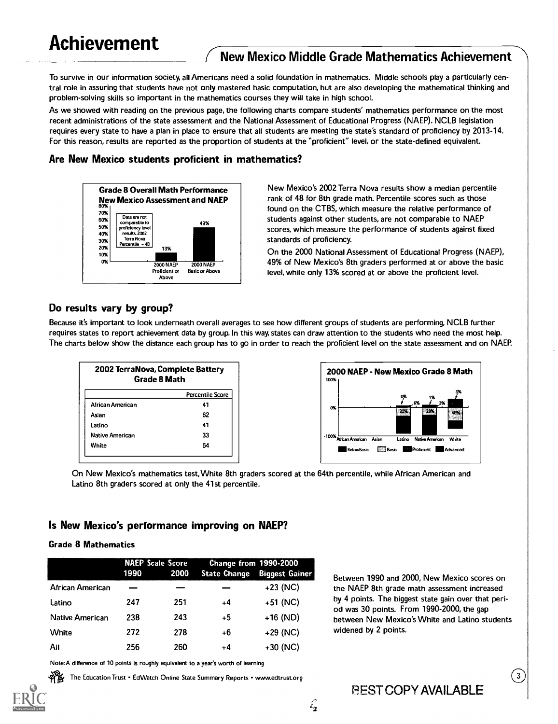# (New Mexico Middle Grade Mathematics Achievement

To survive in our information society, all Americans need a solid foundation in mathematics. Middle schools play a particularly central role in assuring that students have not only mastered basic computation, but are also developing the mathematical thinking and problem-solving skills so important in the mathematics courses they will take in high school.

As we showed with reading on the previous page, the following charts compare students' mathematics performance on the most recent administrations of the state assessment and the National Assessment of Educational Progress (NAEP). NCLB legislation requires every state to have a plan in place to ensure that all students are meeting the state's standard of proficiency by 2013-14. For this reason, results are reported as the proportion of students at the "proficient" level, or the state-defined equivalent.

## Are New Mexico students proficient in mathematics?



New Mexico's 2002 Terra Nova results show a median percentile rank of 48 for 8th grade math. Percentile scores such as those found on the CTBS, which measure the relative performance of students against other students, are not comparable to NAEP scores, which measure the performance of students against fixed standards of proficiency.

On the 2000 National Assessment of Educational Progress (NAEP), 49% of New Mexico's 8th graders performed at or above the basic level, while only 13% scored at or above the proficient level.

# Do results vary by group?

Because it's important to look underneath overall averages to see how different groups of students are performing, NCLB further requires states to report achievement data by group. In this way, states can draw attention to the students who need the most help. The charts below show the distance each group has to go in order to reach the proficient level on the state assessment and on NAEP.

| 2002 TerraNova, Complete Battery<br><b>Grade 8 Math</b> |                  |  |
|---------------------------------------------------------|------------------|--|
|                                                         | Percentile Score |  |
| African American                                        | 41               |  |
| Asian                                                   | 62               |  |
| Latino                                                  | 41               |  |
| <b>Native American</b><br>33                            |                  |  |
| White<br>64                                             |                  |  |



On New Mexico's mathematics test, White 8th graders scored at the 64th percentile, while African American and Latino 8th graders scored at only the 41st percentile.

## Is New Mexico's performance improving on NAEP?

## Grade 8 Mathematics

|                  | 1990 | <b>NAEP Scale Score</b><br>2000 | Change from 1990-2000<br><b>State Change</b> | <b>Biggest Gainer</b> |
|------------------|------|---------------------------------|----------------------------------------------|-----------------------|
| African American |      |                                 |                                              | $+23$ (NC)            |
| Latino           | 247  | 251                             | $+4$                                         | $+51$ (NC)            |
| Native American  | 238  | 243                             | $+5$                                         | $+16$ (ND)            |
| White            | 272  | 278                             | +6                                           | $+29$ (NC)            |
| All              | 256  | 260                             | $+4$                                         | $+30$ (NC)            |

Note:A difference of 10 points is roughly equivalent to a year's worth of learning

The Education Trust • EdWatch Online State Summary Reports • www.edtrust.org

Between 1990 and 2000, New Mexico scores on the NAEP 8th grade math assessment increased by 4 points. The biggest state gain over that period was 30 points. From 1990-2000, the gap between New Mexico's White and Latino students widened by 2 points.

 $\left(3\right)$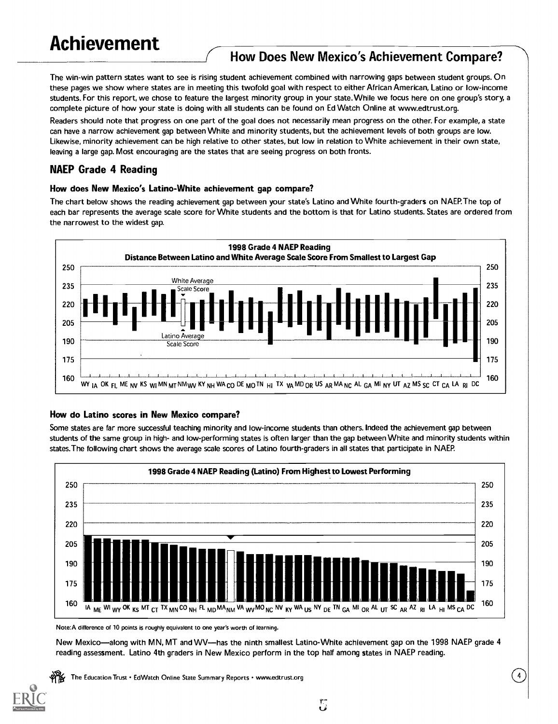# How Does New Mexico's Achievement Compare?

The win-win pattern states want to see is rising student achievement combined with narrowing gaps between student groups. On these pages we show where states are in meeting this twofold goal with respect to either African American, Latino or low-income students. For this report, we chose to feature the largest minority group in your state. While we focus here on one group's story, a complete picture of how your state is doing with all students can be found on Ed Watch Online at www.edtrust.org.

Readers should note that progress on one part of the goal does not necessarily mean progress on the other. For example, a state can have a narrow achievement gap between White and minority students, but the achievement levels of both groups are low. Likewise, minority achievement can be high relative to other states, but low in relation to White achievement in their own state, leaving a large gap. Most encouraging are the states that are seeing progress on both fronts.

# NAEP Grade 4 Reading

#### How does New Mexico's Latino-White achievement gap compare?

The chart below shows the reading achievement gap between your state's Latino and White fourth-graders on NAEP.The top of each bar represents the average scale score for White students and the bottom is that for Latino students. States are ordered from the narrowest to the widest gap.



## How do Latino scores in New Mexico compare?

Some states are far more successful teaching minority and low-income students than others. Indeed the achievement gap between students of the same group in high- and low-performing states is often larger than the gap between White and minority students within states.The following chart shows the average scale scores of Latino fourth-graders in all states that participate in NAEP.



Note:A difference of 10 points is roughly equivalent to one year's worth of learning.

New Mexico—along with MN, MT and WV—has the ninth smallest Latino-White achievement gap on the 1998 NAEP grade 4 reading assessment. Latino 4th graders in New Mexico perform in the top half among states in NAEP reading.

 $\tilde{\omega}$ 

The Education Trust • EdWatch Online State Summary Reports • www.edtrust.org

4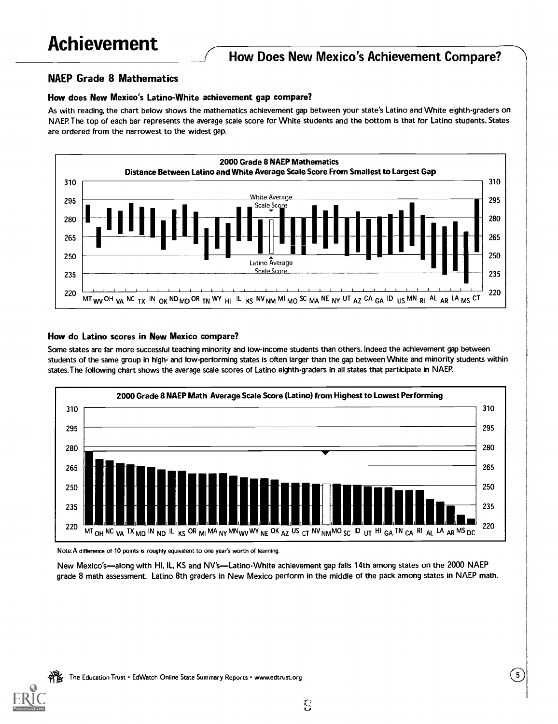# How Does New Mexico's Achievement Compare?

# NAEP Grade 8 Mathematics

# How does New Mexico's Latino-White achievement gap compare?

As with reading, the chart below shows the mathematics achievement gap between your state's Latino and White eighth-graders on NAEP.The top of each bar represents the average scale score for White students and the bottom is that for Latino students. States are ordered from the narrowest to the widest gap.



# How do Latino scores in New Mexico compare?

Some states are far more successful teaching minority and low-income students than others. Indeed the achievement gap between students of the same group in high- and low-performing states is often larger than the gap between White and minority students within states.The following chart shows the average scale scores of Latino eighth-graders in all states that participate in NAEP.



Note:A difference of 10 points is roughly equivalent to one year's worth of learning.

New Mexico's—along with HI, IL, KS and NV's—Latino-White achievement gap falls 14th among states on the 2000 NAEP grade 8 math assessment. Latino 8th graders in New Mexico perform in the middle of the pack among states in NAEP math.



 $\left(5\right)$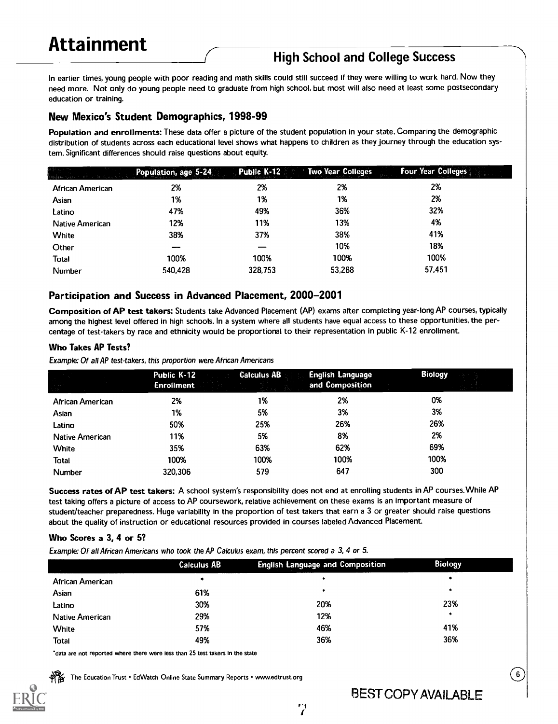# High School and College Success

In earlier times, young people with poor reading and math skills could still succeed if they were willing to work hard. Now they need more. Not only do young people need to graduate from high school, but most will also need at least some postsecondary education or training.

# New Mexico's Student Demographics, 1998-99

Population and enrollments: These data offer a picture of the student population in your state. Comparing the demographic distribution of students across each educational level shows what happens to children as they journey through the education system. Significant differences should raise questions about equity.

|                        | Population, age 5-24 | Public K-12 | <b>Two Year Colleges</b> | <b>Four Year Colleges</b> |
|------------------------|----------------------|-------------|--------------------------|---------------------------|
| African American       | 2%                   | 2%          | 2%                       | 2%                        |
| Asian                  | 1%                   | 1%          | 1%                       | 2%                        |
| Latino                 | 47%                  | 49%         | 36%                      | 32%                       |
| <b>Native American</b> | 12%                  | 11%         | 13%                      | 4%                        |
| <b>White</b>           | 38%                  | 37%         | 38%                      | 41%                       |
| Other                  |                      |             | 10%                      | 18%                       |
| Total                  | 100%                 | 100%        | 100%                     | 100%                      |
| <b>Number</b>          | 540,428              | 328,753     | 53,288                   | 57,451                    |

## Participation and Success in Advanced Placement, 2000-2001

Composition of AP test takers: Students take Advanced Placement (AP) exams after completing year-long AP courses, typically among the highest level offered in high schools. In a system where all students have equal access to these opportunities, the percentage of test-takers by race and ethnicity would be proportional to their representation in public K-12 enrollment.

#### Who Takes AP Tests?

Example: Of all AP test-takers, this proportion were African Americans

|                        | Public K-12<br><b>Enrollment</b> | <b>Calculus AB</b> | <b>English Language</b><br>and Composition | <b>Biology</b> |
|------------------------|----------------------------------|--------------------|--------------------------------------------|----------------|
| African American       | 2%                               | 1%                 | 2%                                         | 0%             |
| Asian                  | 1%                               | 5%                 | 3%                                         | 3%             |
| Latino                 | 50%                              | 25%                | 26%                                        | 26%            |
| <b>Native American</b> | 11%                              | 5%                 | 8%                                         | 2%             |
| <b>White</b>           | 35%                              | 63%                | 62%                                        | 69%            |
| Total                  | 100%                             | 100%               | 100%                                       | 100%           |
| <b>Number</b>          | 320,306                          | 579                | 647                                        | 300            |

Success rates of AP test takers: A school system's responsibility does not end at enrolling students in AP courses. While AP test taking offers a picture of access to AP coursework, relative achievement on these exams is an important measure of student/teacher preparedness. Huge variability in the proportion of test takers that earn a 3 or greater should raise questions about the quality of instruction or educational resources provided in courses labeled Advanced Placement.

## Who Scores a 3, 4 or 5?

Example: Of all African Americans who took the AP Calculus exam, this percent scored a 3, 4 or 5.

|                        | <b>Calculus AB</b> | <b>English Language and Composition</b> | <b>Biology</b> |
|------------------------|--------------------|-----------------------------------------|----------------|
| African American       | ۰                  |                                         | *              |
| Asian                  | 61%                |                                         | ۰              |
| Latino                 | 30%                | 20%                                     | 23%            |
| <b>Native American</b> | 29%                | 12%                                     | ۰              |
| White                  | 57%                | 46%                                     | 41%            |
| Total                  | 49%                | 36%                                     | 36%            |

7

'data are not reported where there were less than 25 test takers in the state

The Education Trust . EdWatch Online State Summary Reports . www.edtrust.org

BEST COPY AVAILABLE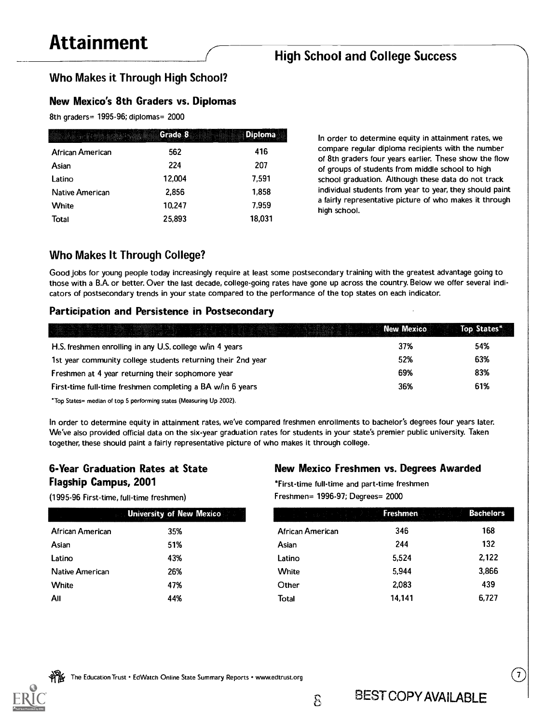# High School and College Success

# Who Makes it Through High School?

# New Mexico's 8th Graders vs. Diplomas

8th graders= 1995-96; diplomas= 2000

| mi salah biyata bir yana daga | Grade 8 | Diploma |
|-------------------------------|---------|---------|
| African American              | 562     | 416     |
| Asian                         | 224     | 207     |
| Latino                        | 12,004  | 7.591   |
| <b>Native American</b>        | 2.856   | 1,858   |
| White                         | 10,247  | 7.959   |
| Total                         | 25.893  | 18,031  |

In order to determine equity in attainment rates, we compare regular diploma recipients with the number of 8th graders four years earlier. These show the flow of groups of students from middle school to high school graduation. Although these data do not track individual students from year to year, they should paint a fairly representative picture of who makes it through high school.

# Who Makes It Through College?

Good jobs for young people today increasingly require at least some postsecondary training with the greatest advantage going to those with a B.A. or better. Over the last decade, college-going rates have gone up across the country. Below we offer several indicators of postsecondary trends in your state compared to the performance of the top states on each indicator.

# Participation and Persistence in Postsecondary

|                                                                     | <b>New Mexico</b> | Top States* |
|---------------------------------------------------------------------|-------------------|-------------|
| H.S. freshmen enrolling in any U.S. college w/in 4 years            | 37%               | 54%         |
| 1st year community college students returning their 2nd year        | 52%               | 63%         |
| Freshmen at 4 year returning their sophomore year                   | 69%               | 83%         |
| First-time full-time freshmen completing a BA w/in 6 years          | 36%               | 61%         |
| *Top States= median of top 5 performing states (Measuring Up 2002). |                   |             |

In order to determine equity in attainment rates, we've compared freshmen enrollments to bachelor's degrees four years later. We've also provided official data on the six-year graduation rates for students in your state's premier public university. Taken together, these should paint a fairly representative picture of who makes it through college.

# 6-Year Graduation Rates at State Flagship Campus, 2001

# New Mexico Freshmen vs. Degrees Awarded

(1995-96 First-time, full-time freshmen)

|                  | <b>University of New Mexico</b> |
|------------------|---------------------------------|
| African American | 35%                             |
| Asian            | 51%                             |
| Latino           | 43%                             |
| Native American  | 26%                             |
| White            | 47%                             |
| All              | 44%                             |

\*First-time full-time and part-time freshmen Freshmen= 1996-97; Degrees= 2000

|                  | <b>University of New Mexico</b> | in kung sayah Popula Ing Kutun.<br>Kabupatèn Popula | <b>Freshmen</b> | <b>Bachelors</b> |
|------------------|---------------------------------|-----------------------------------------------------|-----------------|------------------|
| African American | 35%                             | African American                                    | 346             | 168              |
| Asian            | 51%                             | Asian                                               | 244             | 132              |
| Latino           | 43%                             | Latino                                              | 5.524           | 2,122            |
| Native American  | 26%                             | White                                               | 5.944           | 3.866            |
| White            | 47%                             | Other                                               | 2,083           | 439              |
| All              | 44%                             | Total                                               | 14,141          | 6,727            |

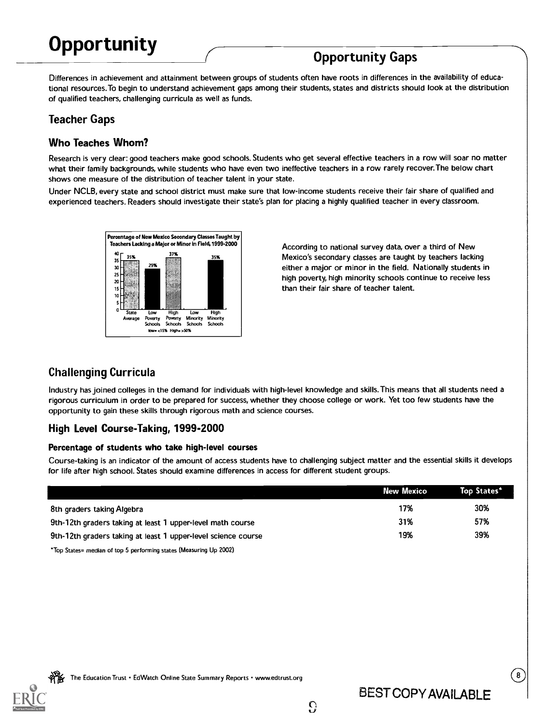# **Opportunity**

# Opportunity Gaps

Differences in achievement and attainment between groups of students often have roots in differences in the availability of educational resources.To begin to understand achievement gaps among their students, states and districts should look at the distribution of qualified teachers, challenging curricula as well as funds.

# Teacher Gaps

# Who Teaches Whom?

Research is very clear: good teachers make good schools. Students who get several effective teachers in a row will soar no matter what their family backgrounds, while students who have even two ineffective teachers in a row rarely recover. The below chart shows one measure of the distribution of teacher talent in your state.

Under NCLB, every state and school district must make sure that low-income students receive their fair share of qualified and experienced teachers. Readers should investigate their state's plan for placing a highly qualified teacher in every classroom.



According to national survey data, over a third of New Mexico's secondary classes are taught by teachers lacking either a major or minor in the field. Nationally students in high poverty, high minority schools continue to receive less than their fair share of teacher talent.

# Challenging Curricula

Industry has joined colleges in the demand for individuals with high-level knowledge and skills. This means that all students need a rigorous curriculum in order to be prepared for success, whether they choose college or work. Yet too few students have the opportunity to gain these skills through rigorous math and science courses.

# High Level Course-Taking, 1999-2000

#### Percentage of students who take high-level courses

Course-taking is an indicator of the amount of access students have to challenging subject matter and the essential skills it develops for life after high school. States should examine differences in access for different student groups.

|                                                                                                                                                                                                                              | New Mexico | Top States* |
|------------------------------------------------------------------------------------------------------------------------------------------------------------------------------------------------------------------------------|------------|-------------|
| 8th graders taking Algebra                                                                                                                                                                                                   | 17%        | 30%         |
| 9th-12th graders taking at least 1 upper-level math course                                                                                                                                                                   | 31%        | 57%         |
| 9th-12th graders taking at least 1 upper-level science course                                                                                                                                                                | 19%        | 39%         |
| ternet and the second the second and the contract of the second in the second in the second in the second in the second in the second in the second in the second in the second in the second in the second in the second in |            |             |

 $\Omega$ 

'Top States= median of top 5 performing states (Measuring Up 2002)

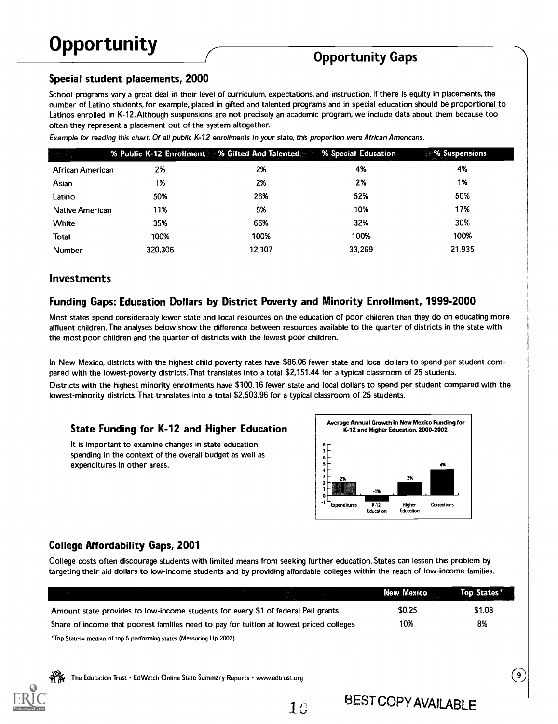# Opportunity Gaps

# Special student placements, 2000

School programs vary a great deal in their level of curriculum, expectations, and instruction. If there is equity in placements, the number of Latino students, for example, placed in gifted and talented programs and in special education should be proportional to Latinos enrolled in K-12.Although suspensions are not precisely an academic program, we include data about them because too often they represent a placement out of the system altogether.

Example for reading this chart: Of all public K-12 enrollments in your state, this proportion were African Americans.

|                  | <b>Example 26 Weilter School School School School School School School School School School School School School School School School School School School School School School School School School School School School School</b> |        | % Special Education | % Suspensions |
|------------------|--------------------------------------------------------------------------------------------------------------------------------------------------------------------------------------------------------------------------------------|--------|---------------------|---------------|
| African American | 2%                                                                                                                                                                                                                                   | 2%     | 4%                  | 4%            |
| Asian            | 1%                                                                                                                                                                                                                                   | 2%     | 2%                  | 1%            |
| Latino           | 50%                                                                                                                                                                                                                                  | 26%    | 52%                 | 50%           |
| Native American  | 11%                                                                                                                                                                                                                                  | 5%     | 10%                 | 17%           |
| <b>White</b>     | 35%                                                                                                                                                                                                                                  | 66%    | 32%                 | 30%           |
| Total            | 100%                                                                                                                                                                                                                                 | 100%   | 100%                | 100%          |
| <b>Number</b>    | 320.306                                                                                                                                                                                                                              | 12.107 | 33,269              | 21.935        |

# Investments

## Funding Gaps: Education Dollars by District Poverty and Minority Enrollment, 1999-2000

Most states spend considerably fewer state and local resources on the education of poor children than they do on educating more affluent children. The analyses below show the difference between resources available to the quarter of districts in the state with the most poor children and the quarter of districts with the fewest poor children.

In New Mexico, districts with the highest child poverty rates have \$86.06 fewer state and local dollars to spend per student compared with the lowest-poverty districts.That translates into a total \$2,151.44 for a typical classroom of 25 students.

Districts with the highest minority enrollments have \$100.16 fewer state and local dollars to spend per student compared with the lowest-minority districts. That translates into a total \$2,503.96 for a typical classroom of 25 students.

## State Funding for K-12 and Higher Education

It is important to examine changes in state education spending in the context of the overall budget as well as expenditures in other areas.



# College Affordability Gaps, 2001

College costs often discourage students with limited means from seeking further education. States can lessen this problem by targeting their aid dollars to low-income students and by providing affordable colleges within the reach of low-income families.

|                                                                                         | New Mexico | Top States* |
|-----------------------------------------------------------------------------------------|------------|-------------|
| Amount state provides to low-income students for every \$1 of federal Pell grants       | \$0.25     | \$1.08      |
| Share of income that poorest families need to pay for tuition at lowest priced colleges | 10%        | 8%          |
| *Top States= median of top 5 performing states (Measuring Up 2002)                      |            |             |

The Education Trust · EdWatch Online State Summary Reports · www.edtrust.org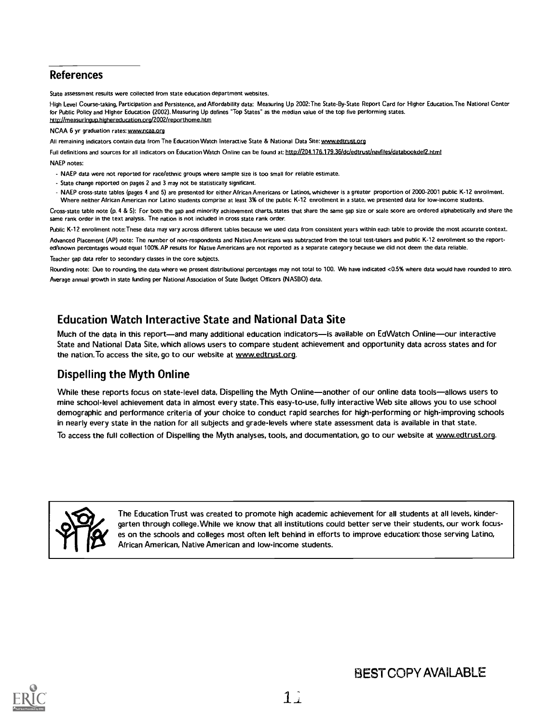# References

State assessment results were collected from state education department websites.

High Level Course-taking, Participation and Persistence, and Affordability data: Measuring Up 2002:The State-By-State Report Card for Higher Education.The National Center for Public Policy and Higher Education (2002). Measuring Up defines "Top States" as the median value of the top five performing states. htto://measuringuo.highereducation.org/2002/reporthome.htm

#### NCAA 6 yr graduation rates: www.ncaa.org

All remaining indicators contain data from The Education Watch Interactive State & National Data Site: www.edtrust.org

Full definitions and sources for all indicators on Education Watch Online can be found at: http://204.176.179.36/dc/edtrust/navfiles/databookdef2.html

NAEP notes:

- NAEP data were not reported for race/ethnic groups where sample size is too small for reliable estimate.
- State change reported on pages 2 and 3 may not be statistically significant.
- NAEP cross-state tables (pages 4 and 5) are presented for either African Americans or Latinos, whichever is a greater proportion of 2000-2001 public K-12 enrollment. Where neither African American nor Latino students comprise at least 3% of the public K-12 enrollment in a state, we presented data for low-income students.

Cross-state table note (p. 4 & 5): For both the gap and minority achievement charts, states that share the same gap size or scale score are ordered alphabetically and share the same rank order in the text analysis. The nation is not included in cross state rank order.

Public K-12 enrollment note: These data may vary across different tables because we used data from consistent years within each table to provide the most accurate context.

Advanced Placement (AP) note: The number of non-respondents and Native Americans was subtracted from the total test-takers and public K-12 enrollment so the reported/known percentages would equal 100%.AP results for Native Americans are not reported as a separate category because we did not deem the data reliable.

Teacher gap data refer to secondary classes in the core subjects.

Rounding note: Due to rounding, the data where we present distributional percentages may not total to 100. We have indicated <0.5% where data would have rounded to zero. Average annual growth in state funding per National Association of State Budget Officers (NASBO) data.

# Education Watch Interactive State and National Data Site

Much of the data in this report-and many additional education indicators-is available on Ed Watch Online-our interactive State and National Data Site, which allows users to compare student achievement and opportunity data across states and for the nation. To access the site, go to our website at www.edtrust.org.

## Dispelling the Myth Online

While these reports focus on state-level data, Dispelling the Myth Online—another of our online data tools—allows users to mine school-level achievement data in almost every state.This easy-to-use, fully interactive Web site allows you to use school demographic and performance criteria of your choice to conduct rapid searches for high-performing or high-improving schools in nearly every state in the nation for all subjects and grade-levels where state assessment data is available in that state. To access the full collection of Dispelling the Myth analyses, tools, and documentation, go to our website at www.edtrust.org.



The Education Trust was created to promote high academic achievement for all students at all levels, kindergarten through college. While we know that all institutions could better serve their students, our work focuses on the schools and colleges most often left behind in efforts to improve education: those serving Latino, African American, Native American and low-income students.